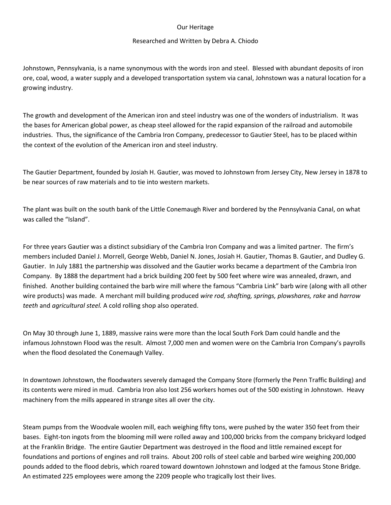## Our Heritage

## Researched and Written by Debra A. Chiodo

Johnstown, Pennsylvania, is a name synonymous with the words iron and steel. Blessed with abundant deposits of iron ore, coal, wood, a water supply and a developed transportation system via canal, Johnstown was a natural location for a growing industry.

The growth and development of the American iron and steel industry was one of the wonders of industrialism. It was the bases for American global power, as cheap steel allowed for the rapid expansion of the railroad and automobile industries. Thus, the significance of the Cambria Iron Company, predecessor to Gautier Steel, has to be placed within the context of the evolution of the American iron and steel industry.

The Gautier Department, founded by Josiah H. Gautier, was moved to Johnstown from Jersey City, New Jersey in 1878 to be near sources of raw materials and to tie into western markets.

The plant was built on the south bank of the Little Conemaugh River and bordered by the Pennsylvania Canal, on what was called the "Island".

For three years Gautier was a distinct subsidiary of the Cambria Iron Company and was a limited partner. The firm's members included Daniel J. Morrell, George Webb, Daniel N. Jones, Josiah H. Gautier, Thomas B. Gautier, and Dudley G. Gautier. In July 1881 the partnership was dissolved and the Gautier works became a department of the Cambria Iron Company. By 1888 the department had a brick building 200 feet by 500 feet where wire was annealed, drawn, and finished. Another building contained the barb wire mill where the famous "Cambria Link" barb wire (along with all other wire products) was made. A merchant mill building produced *wire rod, shafting, springs, plowshares, rake* and *harrow teeth* and *agricultural steel.* A cold rolling shop also operated.

On May 30 through June 1, 1889, massive rains were more than the local South Fork Dam could handle and the infamous Johnstown Flood was the result. Almost 7,000 men and women were on the Cambria Iron Company's payrolls when the flood desolated the Conemaugh Valley.

In downtown Johnstown, the floodwaters severely damaged the Company Store (formerly the Penn Traffic Building) and its contents were mired in mud. Cambria Iron also lost 256 workers homes out of the 500 existing in Johnstown. Heavy machinery from the mills appeared in strange sites all over the city.

Steam pumps from the Woodvale woolen mill, each weighing fifty tons, were pushed by the water 350 feet from their bases. Eight-ton ingots from the blooming mill were rolled away and 100,000 bricks from the company brickyard lodged at the Franklin Bridge. The entire Gautier Department was destroyed in the flood and little remained except for foundations and portions of engines and roll trains. About 200 rolls of steel cable and barbed wire weighing 200,000 pounds added to the flood debris, which roared toward downtown Johnstown and lodged at the famous Stone Bridge. An estimated 225 employees were among the 2209 people who tragically lost their lives.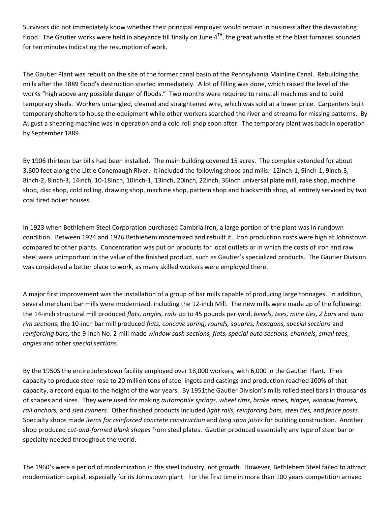Survivors did not immediately know whether their principal employer would remain in business after the devastating flood. The Gautier works were held in abeyance till finally on June  $4^{TH}$ , the great whistle at the blast furnaces sounded for ten minutes indicating the resumption of work.

The Gautier Plant was rebuilt on the site of the former canal basin of the Pennsylvania Mainline Canal. Rebuilding the mills after the 1889 flood's destruction started immediately. A lot of filling was done, which raised the level of the worKs "high above any possible danger of floods." Two months were required to reinstall machines and to build temporary sheds. Workers untangled, cleaned and straightened wire, which was sold at a lower price. Carpenters built temporary shelters to house the equipment while other workers searched the river and streams for missing patterns. By August a shearing machine was in operation and a cold roll shop soon after. The temporary plant was back in operation by September 1889.

By 1906 thirteen bar bills had been installed. The main building covered 15 acres. The complex extended for about 3,600 feet along the Little Conemaugh River. It included the following shops and mills: 12inch-1, 9inch-1, 9inch-3, 8inch-2, 8inch-3, 14inch, 10-18inch, 10inch-1, 13inch, 20inch, 22inch, 36inch universal plate mill, rake shop, machine shop, disc shop, cold rolling, drawing shop, machine shop, pattern shop and blacksmith shop, all entirely serviced by two coal fired boiler houses.

In 1923 when Bethlehem Steel Corporation purchased Cambria Iron, a large portion of the plant was in rundown condition. Between 1924 and 1926 Bethlehem modernized and rebuilt it. Iron production costs were high at Johnstown compared to other plants. Concentration was put on products for local outlets or in which the costs of iron and raw steel were unimportant in the value of the finished product, such as Gautier's specialized products. The Gautier Division was considered a better place to work, as many skilled workers were employed there.

A major first improvement was the installation of a group of bar mills capable of producing large tonnages. In addition, several merchant bar mills were modernized, including the 12-inch Mill. The new mills were made up of the following: the 14-inch structural mill produced *flats, angles, rails* up to 45 pounds per yard, *bevels, tees, mine ties, Z bars* and *auto rim sections,* the 10-inch bar mill produced *flats, concave spring, rounds, squares, hexagons, special sections* and *reinforcing bars,* the 9-inch No. 2 mill made *window sash sections, flats, special auto sections, channels, small tees, angles* and other *special sections.*

By the 1950S the entire Johnstown facility employed over 18,000 workers, with 6,000 in the Gautier Plant. Their capacity to produce steel rose to 20 million tons of steel ingots and castings and production reached 100% of that capacity, a record equal to the height of the war years. By 1951the Gautier Division's mills rolled steel bars in thousands of shapes and sizes. They were used for making *automobile springs, wheel rims, brake shoes, hinges, window frames, rail anchors,* and *sled runners.* Other finished products included *light rails, reinforcing bars, steel ties,* and *fence posts.*  Specialty shops made *items for reinforced concrete construction* and *long span joists* for building construction. Another shop produced *cut-and-formed blank shapes* from steel plates. Gautier produced essentially any type of steel bar or specialty needed throughout the world.

The 1960's were a period of modernization in the steel industry, not growth. However, Bethlehem Steel failed to attract modernization capital, especially for its Johnstown plant. For the first time in more than 100 years competition arrived